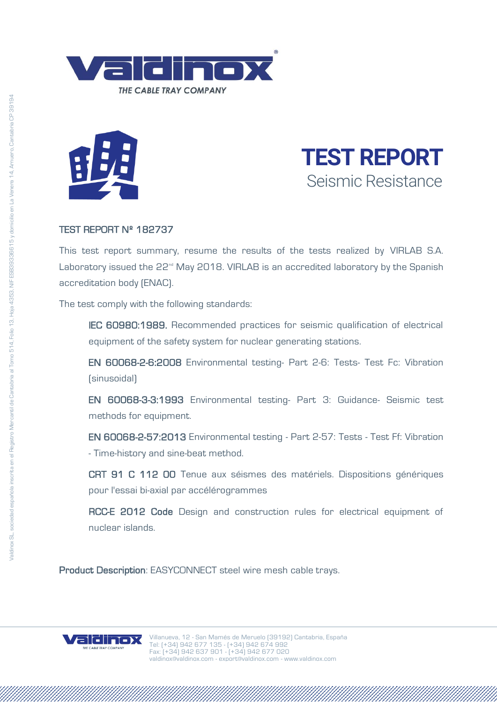





## TEST REPORT Nº 182737

This test report summary, resume the results of the tests realized by VIRLAB S.A. Laboratory issued the 22<sup>nd</sup> May 2018. VIRLAB is an accredited laboratory by the Spanish accreditation body (ENAC).

The test comply with the following standards:

IEC 60980:1989. Recommended practices for seismic qualification of electrical equipment of the safety system for nuclear generating stations.

EN 60068-2-6:2008 Environmental testing- Part 2-6: Tests- Test Fc: Vibration (sinusoidal)

EN 60068-3-3:1993 Environmental testing- Part 3: Guidance- Seismic test methods for equipment.

EN 60068-2-57:2013 Environmental testing - Part 2-57: Tests - Test Ff: Vibration - Time-history and sine-beat method.

CRT 91 C 112 00 Tenue aux séismes des matériels. Dispositions génériques pour l'essai bi-axial par accélérogrammes

RCC-E 2012 Code Design and construction rules for electrical equipment of nuclear islands.

Product Description: EASYCONNECT steel wire mesh cable trays.

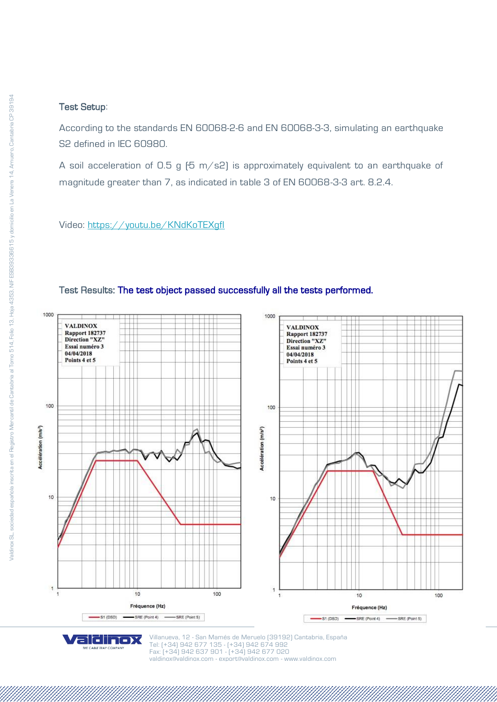## Test Setup:

According to the standards EN 60068-2-6 and EN 60068-3-3, simulating an earthquake S2 defined in IEC 60980.

A soil acceleration of 0.5 g  $[5 \text{ m/s2}]$  is approximately equivalent to an earthquake of magnitude greater than 7, as indicated in table 3 of EN 60068-3-3 art. 8.2.4.

Video:<https://youtu.be/KNdKoTEXgfI>

aldinox *HE CABLE TRAY COMPANY* 



## Test Results: The test object passed successfully all the tests performed.

Villanueva, 12 - San Mamés de Meruelo (39192) Cantabria, España Tel: (+34) 942 677 135 - (+34) 942 674 992 Fax: (+34) 942 637 901 - (+34) 942 677 020 [valdinox@valdinox.com](mailto:valdinox@valdinox.com) - [export@valdinox.com](mailto:export@valdinox.com) - [www.valdinox.com](http://www.valdinox.com/)